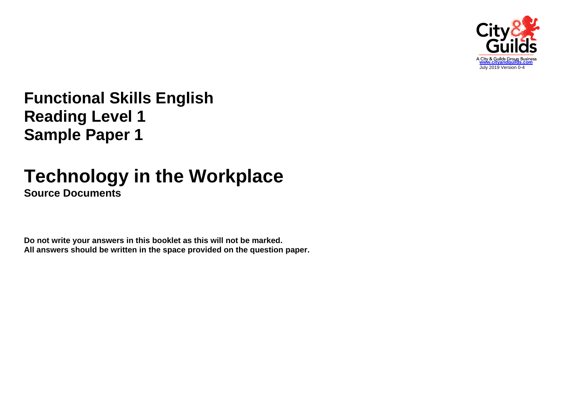

# **Functional Skills English Reading Level 1 Sample Paper 1**

## **Technology in the Workplace Source Documents**

**Do not write your answers in this booklet as this will not be marked. All answers should be written in the space provided on the question paper.**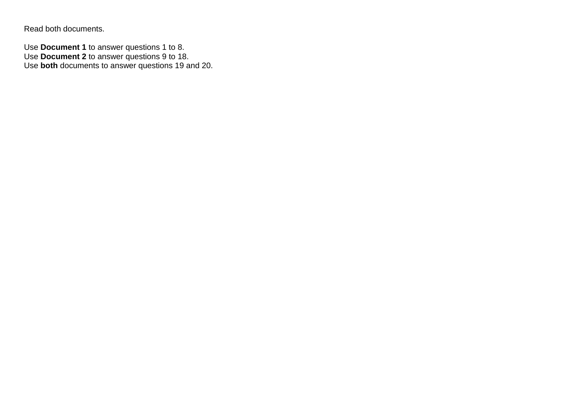Read both documents.

Use **Document 1** to answer questions 1 to 8. Use **Document 2** to answer questions 9 to 18. Use **both** documents to answer questions 19 and 20.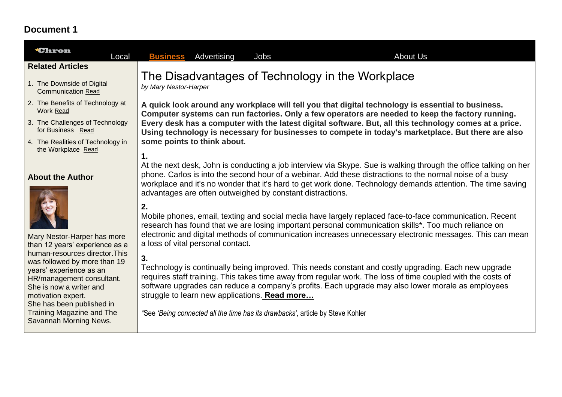## **Document 1**

| <b>*Chron</b><br>Local                                                                                                                                                                                                                   | <b>About Us</b><br><b>Business</b> Advertising<br>Jobs                                                                                                                                                                                                                                                                                                                                                                                                                   |
|------------------------------------------------------------------------------------------------------------------------------------------------------------------------------------------------------------------------------------------|--------------------------------------------------------------------------------------------------------------------------------------------------------------------------------------------------------------------------------------------------------------------------------------------------------------------------------------------------------------------------------------------------------------------------------------------------------------------------|
| <b>Related Articles</b>                                                                                                                                                                                                                  |                                                                                                                                                                                                                                                                                                                                                                                                                                                                          |
| 1. The Downside of Digital<br><b>Communication Read</b>                                                                                                                                                                                  | The Disadvantages of Technology in the Workplace<br>by Mary Nestor-Harper                                                                                                                                                                                                                                                                                                                                                                                                |
| 2. The Benefits of Technology at<br>Work Read                                                                                                                                                                                            | A quick look around any workplace will tell you that digital technology is essential to business.<br>Computer systems can run factories. Only a few operators are needed to keep the factory running.                                                                                                                                                                                                                                                                    |
| 3. The Challenges of Technology<br>for Business Read                                                                                                                                                                                     | Every desk has a computer with the latest digital software. But, all this technology comes at a price.<br>Using technology is necessary for businesses to compete in today's marketplace. But there are also                                                                                                                                                                                                                                                             |
| 4. The Realities of Technology in<br>the Workplace Read                                                                                                                                                                                  | some points to think about.                                                                                                                                                                                                                                                                                                                                                                                                                                              |
| <b>About the Author</b>                                                                                                                                                                                                                  | 1.<br>At the next desk, John is conducting a job interview via Skype. Sue is walking through the office talking on her<br>phone. Carlos is into the second hour of a webinar. Add these distractions to the normal noise of a busy<br>workplace and it's no wonder that it's hard to get work done. Technology demands attention. The time saving<br>advantages are often outweighed by constant distractions.                                                           |
| Mary Nestor-Harper has more<br>than 12 years' experience as a                                                                                                                                                                            | 2.<br>Mobile phones, email, texting and social media have largely replaced face-to-face communication. Recent<br>research has found that we are losing important personal communication skills*. Too much reliance on<br>electronic and digital methods of communication increases unnecessary electronic messages. This can mean<br>a loss of vital personal contact.                                                                                                   |
| human-resources director. This<br>was followed by more than 19<br>years' experience as an<br>HR/management consultant.<br>She is now a writer and<br>motivation expert.<br>She has been published in<br><b>Training Magazine and The</b> | 3.<br>Technology is continually being improved. This needs constant and costly upgrading. Each new upgrade<br>requires staff training. This takes time away from regular work. The loss of time coupled with the costs of<br>software upgrades can reduce a company's profits. Each upgrade may also lower morale as employees<br>struggle to learn new applications. <b>Read more</b><br>*See 'Being connected all the time has its drawbacks', article by Steve Kohler |
| Savannah Morning News.                                                                                                                                                                                                                   |                                                                                                                                                                                                                                                                                                                                                                                                                                                                          |
|                                                                                                                                                                                                                                          |                                                                                                                                                                                                                                                                                                                                                                                                                                                                          |